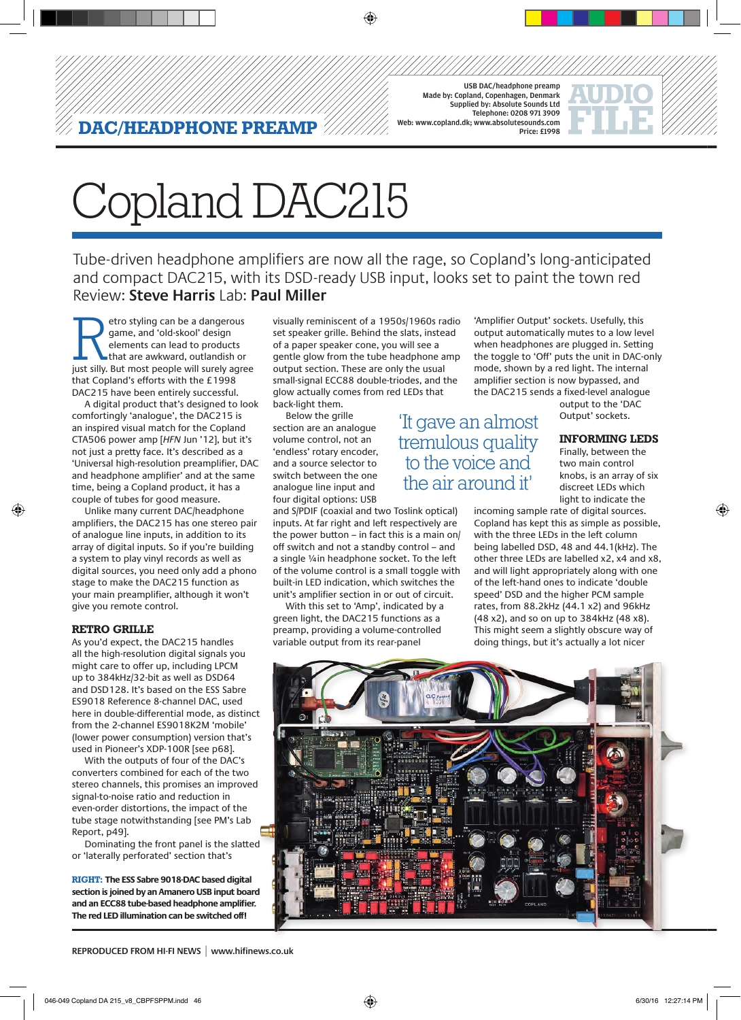USB DAC/headphone preamp Made by: Copland, Copenhagen, Denmark Supplied by: Absolute Sounds Ltd Telephone: 0208 971 3909 Web: www.copland.dk; www.absolutesounds.com Price: £1998

'It gave an almost tremulous quality to the voice and the air around it'



# Copland DAC215

**DAC/HEADPHONE PREAMP**

Tube-driven headphone amplifiers are now all the rage, so Copland's long-anticipated and compact DAC215, with its DSD-ready USB input, looks set to paint the town red Review: **Steve Harris** Lab: **Paul Miller**

etro styling can be a dangerous<br>
game, and 'old-skool' design<br>
elements can lead to products<br>
that are awkward, outlandish or<br>
just silly. But most people will surely agree game, and 'old-skool' design elements can lead to products that are awkward, outlandish or that Copland's efforts with the £1998 DAC215 have been entirely successful.

A digital product that's designed to look comfortingly 'analogue', the DAC215 is an inspired visual match for the Copland CTA506 power amp [*HFN* Jun '12], but it's not just a pretty face. It's described as a 'Universal high-resolution preamplifier, DAC and headphone amplifier' and at the same time, being a Copland product, it has a couple of tubes for good measure.

Unlike many current DAC/headphone amplifiers, the DAC215 has one stereo pair of analogue line inputs, in addition to its array of digital inputs. So if you're building a system to play vinyl records as well as digital sources, you need only add a phono stage to make the DAC215 function as your main preamplifier, although it won't give you remote control.

#### **retro grille**

◈

As you'd expect, the DAC215 handles all the high-resolution digital signals you might care to offer up, including LPCM up to 384kHz/32-bit as well as DSD64 and DSD128. It's based on the ESS Sabre ES9018 Reference 8-channel DAC, used here in double-differential mode, as distinct from the 2-channel ES9018K2M 'mobile' (lower power consumption) version that's used in Pioneer's XDP-100R [see p68].

With the outputs of four of the DAC's converters combined for each of the two stereo channels, this promises an improved signal-to-noise ratio and reduction in even-order distortions, the impact of the tube stage notwithstanding [see PM's Lab Report, p49].

Dominating the front panel is the slatted or 'laterally perforated' section that's

**RIGHT: The ESS Sabre 9018-DAC based digital section is joined by an Amanero USB input board and an ECC88 tube-based headphone amplifier. The red LED illumination can be switched off!**

visually reminiscent of a 1950s/1960s radio set speaker grille. Behind the slats, instead of a paper speaker cone, you will see a gentle glow from the tube headphone amp output section. These are only the usual small-signal ECC88 double-triodes, and the glow actually comes from red LEDs that back-light them.

Below the grille section are an analogue volume control, not an 'endless' rotary encoder, and a source selector to switch between the one analogue line input and

four digital options: USB and S/PDIF (coaxial and two Toslink optical) inputs. At far right and left respectively are the power button – in fact this is a main on/ off switch and not a standby control – and a single ¼in headphone socket. To the left of the volume control is a small toggle with built-in LED indication, which switches the unit's amplifier section in or out of circuit.

With this set to 'Amp', indicated by a green light, the DAC215 functions as a preamp, providing a volume-controlled variable output from its rear-panel

'Amplifier Output' sockets. Usefully, this output automatically mutes to a low level when headphones are plugged in. Setting the toggle to 'Off' puts the unit in DAC-only mode, shown by a red light. The internal amplifier section is now bypassed, and the DAC215 sends a fixed-level analogue

output to the 'DAC Output' sockets.

## **informing leds**

Finally, between the two main control knobs, is an array of six discreet LEDs which light to indicate the

◈

incoming sample rate of digital sources. Copland has kept this as simple as possible, with the three LEDs in the left column being labelled DSD, 48 and 44.1(kHz). The other three LEDs are labelled x2, x4 and x8, and will light appropriately along with one of the left-hand ones to indicate 'double speed' DSD and the higher PCM sample rates, from 88.2kHz (44.1 x2) and 96kHz (48 x2), and so on up to 384kHz (48 x8). This might seem a slightly obscure way of doing things, but it's actually a lot nicer



**REPRODUCED FROM HI-FI NEWS | www.hifinews.co.uk**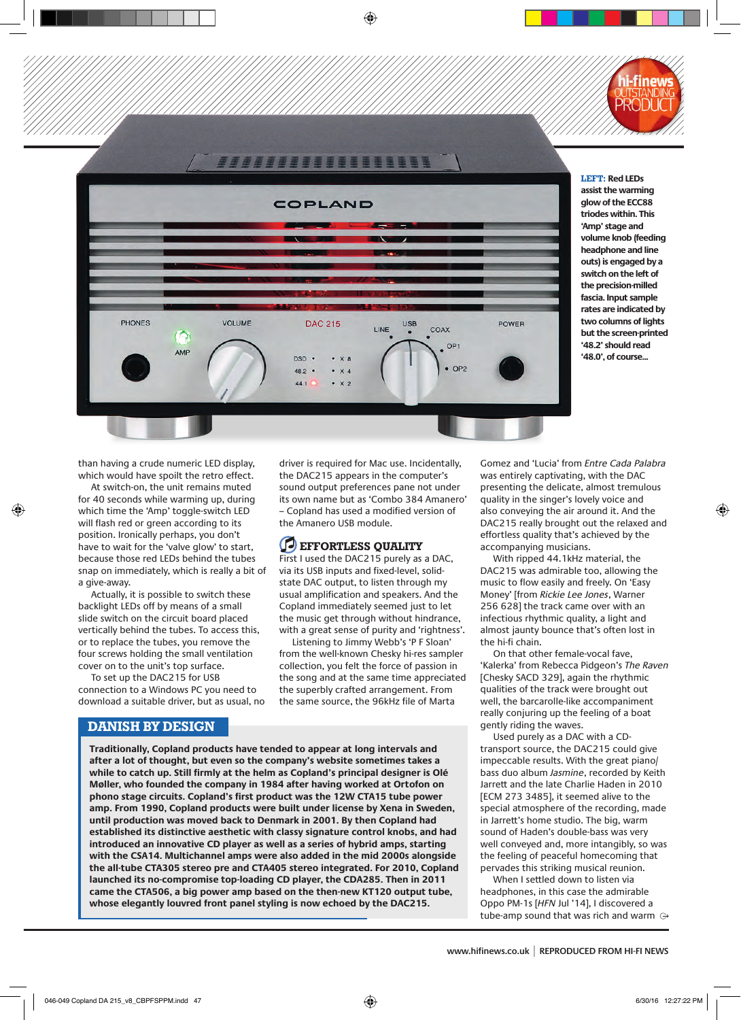



**LEFT: Red LEDs assist the warming glow of the ECC88 triodes within. This 'Amp' stage and volume knob (feeding headphone and line outs) is engaged by a switch on the left of the precision-milled fascia. Input sample rates are indicated by two columns of lights but the screen-printed '48.2' should read '48.0', of course...**

◈

than having a crude numeric LED display, which would have spoilt the retro effect.

◈

At switch-on, the unit remains muted for 40 seconds while warming up, during which time the 'Amp' toggle-switch LED will flash red or green according to its position. Ironically perhaps, you don't have to wait for the 'valve glow' to start, because those red LEDs behind the tubes snap on immediately, which is really a bit of a give-away.

Actually, it is possible to switch these backlight LEDs off by means of a small slide switch on the circuit board placed vertically behind the tubes. To access this, or to replace the tubes, you remove the four screws holding the small ventilation cover on to the unit's top surface.

To set up the DAC215 for USB connection to a Windows PC you need to download a suitable driver, but as usual, no driver is required for Mac use. Incidentally, the DAC215 appears in the computer's sound output preferences pane not under its own name but as 'Combo 384 Amanero' – Copland has used a modified version of the Amanero USB module.

⊕

# **EFFORTLESS QUALITY**

First I used the DAC215 purely as a DAC, via its USB inputs and fixed-level, solidstate DAC output, to listen through my usual amplification and speakers. And the Copland immediately seemed just to let the music get through without hindrance, with a great sense of purity and 'rightness'.

Listening to Jimmy Webb's 'P F Sloan' from the well-known Chesky hi-res sampler collection, you felt the force of passion in the song and at the same time appreciated the superbly crafted arrangement. From the same source, the 96kHz file of Marta

**DANISH BY DESIGN**

**Traditionally, Copland products have tended to appear at long intervals and after a lot of thought, but even so the company's website sometimes takes a while to catch up. Still firmly at the helm as Copland's principal designer is Olé Møller, who founded the company in 1984 after having worked at Ortofon on phono stage circuits. Copland's first product was the 12W CTA15 tube power amp. From 1990, Copland products were built under license by Xena in Sweden, until production was moved back to Denmark in 2001. By then Copland had established its distinctive aesthetic with classy signature control knobs, and had introduced an innovative CD player as well as a series of hybrid amps, starting with the CSA14. Multichannel amps were also added in the mid 2000s alongside the all-tube CTA305 stereo pre and CTA405 stereo integrated. For 2010, Copland launched its no-compromise top-loading CD player, the CDA285. Then in 2011 came the CTA506, a big power amp based on the then-new KT120 output tube, whose elegantly louvred front panel styling is now echoed by the DAC215.**

Gomez and 'Lucia' from *Entre Cada Palabra* was entirely captivating, with the DAC presenting the delicate, almost tremulous quality in the singer's lovely voice and also conveying the air around it. And the DAC215 really brought out the relaxed and effortless quality that's achieved by the accompanying musicians.

With ripped 44.1kHz material, the DAC215 was admirable too, allowing the music to flow easily and freely. On 'Easy Money' [from *Rickie Lee Jones*, Warner 256 628] the track came over with an infectious rhythmic quality, a light and almost jaunty bounce that's often lost in the hi-fi chain.

On that other female-vocal fave, 'Kalerka' from Rebecca Pidgeon's *The Raven* [Chesky SACD 329], again the rhythmic qualities of the track were brought out well, the barcarolle-like accompaniment really conjuring up the feeling of a boat gently riding the waves.

Used purely as a DAC with a CDtransport source, the DAC215 could give impeccable results. With the great piano/ bass duo album *Jasmine*, recorded by Keith Jarrett and the late Charlie Haden in 2010 [ECM 273 3485], it seemed alive to the special atmosphere of the recording, made in Jarrett's home studio. The big, warm sound of Haden's double-bass was very well conveyed and, more intangibly, so was the feeling of peaceful homecoming that pervades this striking musical reunion.

When I settled down to listen via headphones, in this case the admirable Oppo PM-1s [*HFN* Jul '14], I discovered a tube-amp sound that was rich and warm  $\odot$ 

**www.hifinews.co.uk | REPRODUCED FROM HI-FI NEWS**